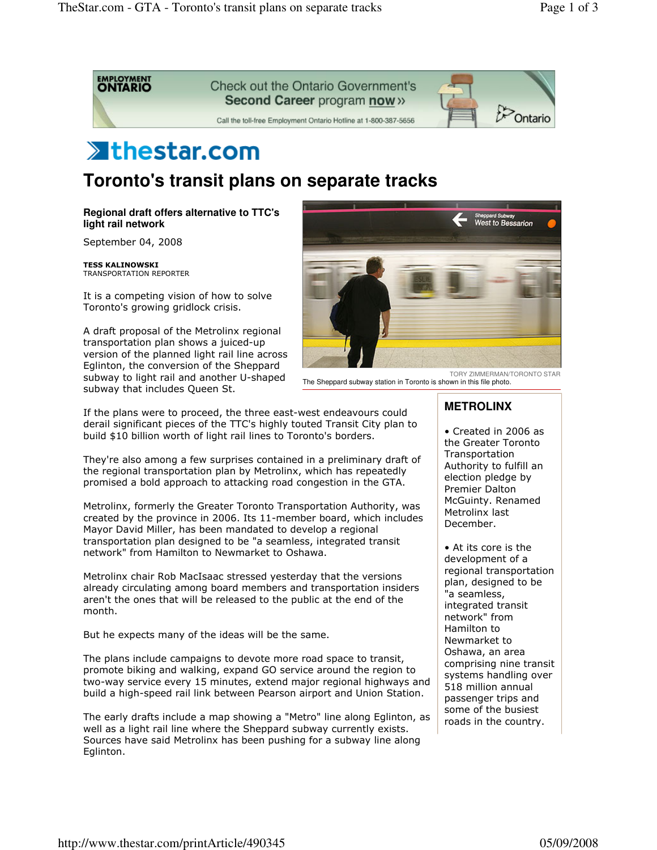

## **Xthestar.com**

**Toronto's transit plans on separate tracks** 

**Regional draft offers alternative to TTC's light rail network**

September 04, 2008

**TESS KALINOWSKI** TRANSPORTATION REPORTER

It is a competing vision of how to solve Toronto's growing gridlock crisis.

A draft proposal of the Metrolinx regional transportation plan shows a juiced-up version of the planned light rail line across Eglinton, the conversion of the Sheppard subway to light rail and another U-shaped subway that includes Queen St.



TORY ZIMMERMAN/TORONTO STAR The Sheppard subway station in Toronto is shown in this file photo.

If the plans were to proceed, the three east-west endeavours could derail significant pieces of the TTC's highly touted Transit City plan to build \$10 billion worth of light rail lines to Toronto's borders.

They're also among a few surprises contained in a preliminary draft of the regional transportation plan by Metrolinx, which has repeatedly promised a bold approach to attacking road congestion in the GTA.

Metrolinx, formerly the Greater Toronto Transportation Authority, was created by the province in 2006. Its 11-member board, which includes Mayor David Miller, has been mandated to develop a regional transportation plan designed to be "a seamless, integrated transit network" from Hamilton to Newmarket to Oshawa.

Metrolinx chair Rob MacIsaac stressed yesterday that the versions already circulating among board members and transportation insiders aren't the ones that will be released to the public at the end of the month.

But he expects many of the ideas will be the same.

The plans include campaigns to devote more road space to transit, promote biking and walking, expand GO service around the region to two-way service every 15 minutes, extend major regional highways and build a high-speed rail link between Pearson airport and Union Station.

The early drafts include a map showing a "Metro" line along Eglinton, as well as a light rail line where the Sheppard subway currently exists. Sources have said Metrolinx has been pushing for a subway line along Eglinton.

## **METROLINX**

• Created in 2006 as the Greater Toronto Transportation Authority to fulfill an election pledge by Premier Dalton McGuinty. Renamed Metrolinx last December.

• At its core is the development of a regional transportation plan, designed to be "a seamless, integrated transit network" from Hamilton to Newmarket to Oshawa, an area comprising nine transit systems handling over 518 million annual passenger trips and some of the busiest roads in the country.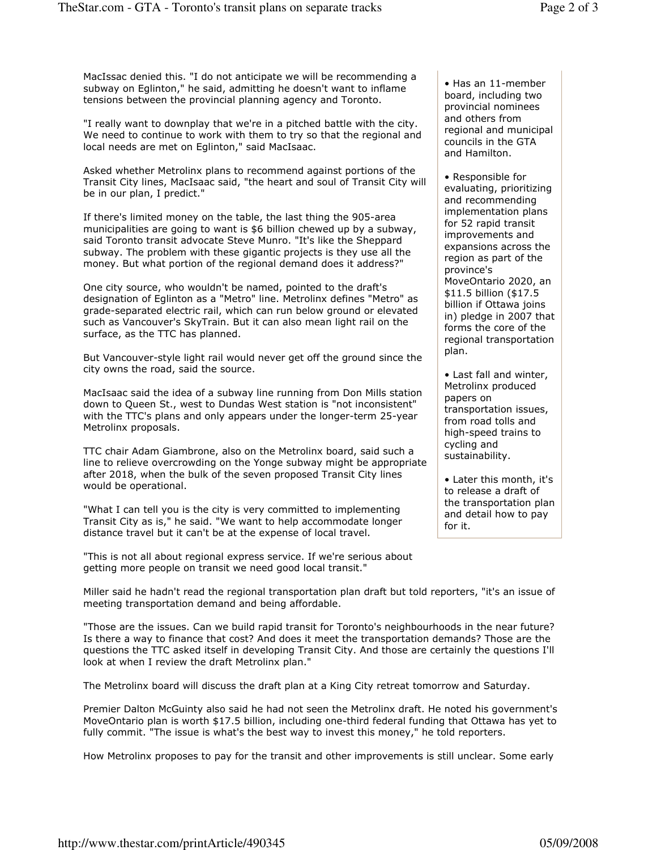MacIssac denied this. "I do not anticipate we will be recommending a subway on Eglinton," he said, admitting he doesn't want to inflame tensions between the provincial planning agency and Toronto.

"I really want to downplay that we're in a pitched battle with the city. We need to continue to work with them to try so that the regional and local needs are met on Eglinton," said MacIsaac.

Asked whether Metrolinx plans to recommend against portions of the Transit City lines, MacIsaac said, "the heart and soul of Transit City will be in our plan, I predict."

If there's limited money on the table, the last thing the 905-area municipalities are going to want is \$6 billion chewed up by a subway, said Toronto transit advocate Steve Munro. "It's like the Sheppard subway. The problem with these gigantic projects is they use all the money. But what portion of the regional demand does it address?"

One city source, who wouldn't be named, pointed to the draft's designation of Eglinton as a "Metro" line. Metrolinx defines "Metro" as grade-separated electric rail, which can run below ground or elevated such as Vancouver's SkyTrain. But it can also mean light rail on the surface, as the TTC has planned.

But Vancouver-style light rail would never get off the ground since the city owns the road, said the source.

MacIsaac said the idea of a subway line running from Don Mills station down to Queen St., west to Dundas West station is "not inconsistent" with the TTC's plans and only appears under the longer-term 25-year Metrolinx proposals.

TTC chair Adam Giambrone, also on the Metrolinx board, said such a line to relieve overcrowding on the Yonge subway might be appropriate after 2018, when the bulk of the seven proposed Transit City lines would be operational.

"What I can tell you is the city is very committed to implementing Transit City as is," he said. "We want to help accommodate longer distance travel but it can't be at the expense of local travel.

"This is not all about regional express service. If we're serious about getting more people on transit we need good local transit."

• Has an 11-member board, including two provincial nominees and others from regional and municipal councils in the GTA and Hamilton.

• Responsible for evaluating, prioritizing and recommending implementation plans for 52 rapid transit improvements and expansions across the region as part of the province's MoveOntario 2020, an \$11.5 billion (\$17.5 billion if Ottawa joins in) pledge in 2007 that forms the core of the regional transportation plan.

• Last fall and winter, Metrolinx produced papers on transportation issues, from road tolls and high-speed trains to cycling and sustainability.

• Later this month, it's to release a draft of the transportation plan and detail how to pay for it.

Miller said he hadn't read the regional transportation plan draft but told reporters, "it's an issue of meeting transportation demand and being affordable.

"Those are the issues. Can we build rapid transit for Toronto's neighbourhoods in the near future? Is there a way to finance that cost? And does it meet the transportation demands? Those are the questions the TTC asked itself in developing Transit City. And those are certainly the questions I'll look at when I review the draft Metrolinx plan."

The Metrolinx board will discuss the draft plan at a King City retreat tomorrow and Saturday.

Premier Dalton McGuinty also said he had not seen the Metrolinx draft. He noted his government's MoveOntario plan is worth \$17.5 billion, including one-third federal funding that Ottawa has yet to fully commit. "The issue is what's the best way to invest this money," he told reporters.

How Metrolinx proposes to pay for the transit and other improvements is still unclear. Some early